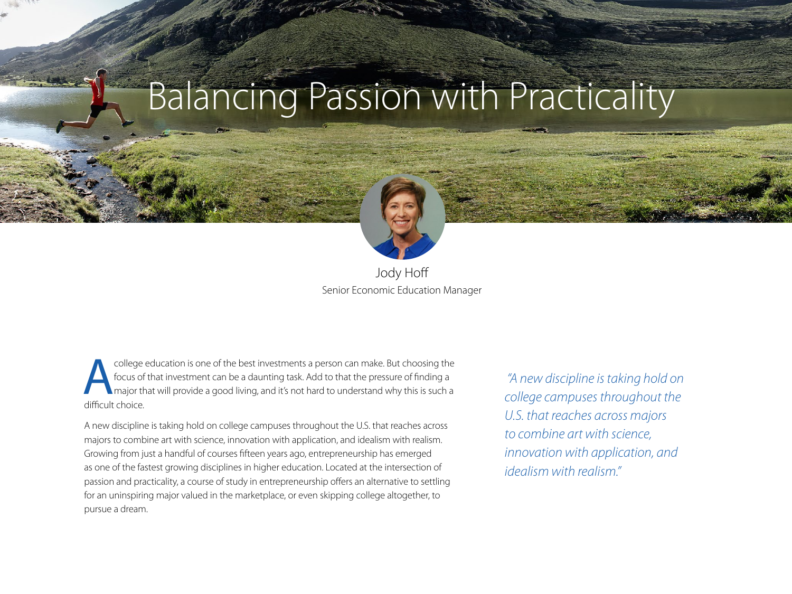# Balancing Passion with Practicality



Jody Hoff Senior Economic Education Manager

college education is one of the best investments a person can make. But choosing the focus of that investment can be a daunting task. Add to that the pressure of finding a major that will provide a good living, and it's no focus of that investment can be a daunting task. Add to that the pressure of finding a major that will provide a good living, and it's not hard to understand why this is such a difficult choice.

A new discipline is taking hold on college campuses throughout the U.S. that reaches across majors to combine art with science, innovation with application, and idealism with realism. Growing from just a handful of courses fifteen years ago, entrepreneurship has emerged as one of the fastest growing disciplines in higher education. Located at the intersection of passion and practicality, a course of study in entrepreneurship offers an alternative to settling for an uninspiring major valued in the marketplace, or even skipping college altogether, to pursue a dream.

 *"A new discipline is taking hold on college campuses throughout the U.S. that reaches across majors to combine art with science, innovation with application, and idealism with realism."*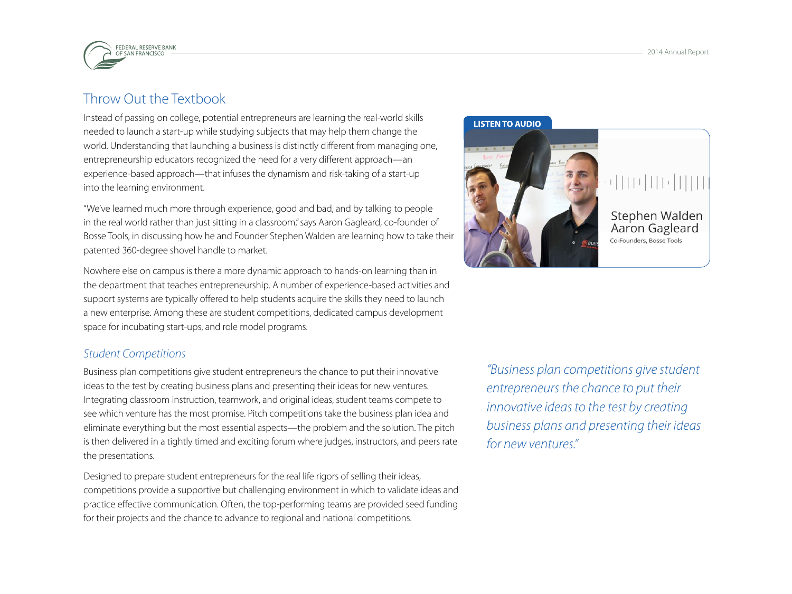

# Throw Out the Textbook

Instead of passing on college, potential entrepreneurs are learning the real-world skills needed to launch a start-up while studying subjects that may help them change the world. Understanding that launching a business is distinctly different from managing one, entrepreneurship educators recognized the need for a very different approach—an experience-based approach—that infuses the dynamism and risk-taking of a start-up into the learning environment.

"We've learned much more through experience, good and bad, and by talking to people in the real world rather than just sitting in a classroom," says Aaron Gagleard, co-founder of Bosse Tools, in discussing how he and Founder Stephen Walden are learning how to take their patented 360-degree shovel handle to market.

Nowhere else on campus is there a more dynamic approach to hands-on learning than in the department that teaches entrepreneurship. A number of experience-based activities and support systems are typically offered to help students acquire the skills they need to launch a new enterprise. Among these are student competitions, dedicated campus development space for incubating start-ups, and role model programs.

#### *Student Competitions*

Business plan competitions give student entrepreneurs the chance to put their innovative ideas to the test by creating business plans and presenting their ideas for new ventures. Integrating classroom instruction, teamwork, and original ideas, student teams compete to see which venture has the most promise. Pitch competitions take the business plan idea and eliminate everything but the most essential aspects—the problem and the solution. The pitch is then delivered in a tightly timed and exciting forum where judges, instructors, and peers rate the presentations.

Designed to prepare student entrepreneurs for the real life rigors of selling their ideas, competitions provide a supportive but challenging environment in which to validate ideas and practice effective communication. Often, the top-performing teams are provided seed funding for their projects and the chance to advance to regional and national competitions.



*"Business plan competitions give student entrepreneurs the chance to put their innovative ideas to the test by creating business plans and presenting their ideas for new ventures."*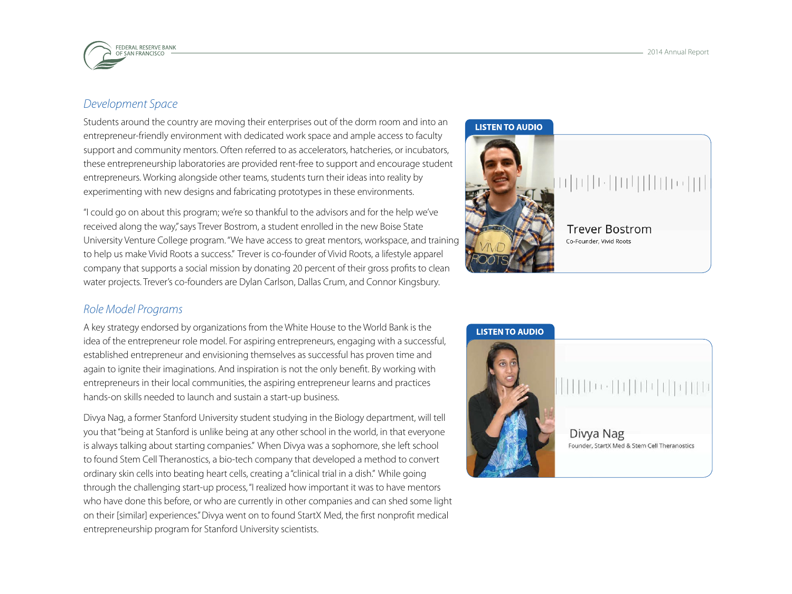

#### *Development Space*

Students around the country are moving their enterprises out of the dorm room and into an entrepreneur-friendly environment with dedicated work space and ample access to faculty support and community mentors. Often referred to as accelerators, hatcheries, or incubators, these entrepreneurship laboratories are provided rent-free to support and encourage student entrepreneurs. Working alongside other teams, students turn their ideas into reality by experimenting with new designs and fabricating prototypes in these environments.

"I could go on about this program; we're so thankful to the advisors and for the help we've received along the way," says Trever Bostrom, a student enrolled in the new Boise State University Venture College program. "We have access to great mentors, workspace, and training to help us make Vivid Roots a success." Trever is co-founder of Vivid Roots, a lifestyle apparel company that supports a social mission by donating 20 percent of their gross profits to clean water projects. Trever's co-founders are Dylan Carlson, Dallas Crum, and Connor Kingsbury.

#### *Role Model Programs*

A key strategy endorsed by organizations from the White House to the World Bank is the idea of the entrepreneur role model. For aspiring entrepreneurs, engaging with a successful, established entrepreneur and envisioning themselves as successful has proven time and again to ignite their imaginations. And inspiration is not the only benefit. By working with entrepreneurs in their local communities, the aspiring entrepreneur learns and practices hands-on skills needed to launch and sustain a start-up business.

Divya Nag, a former Stanford University student studying in the Biology department, will tell you that "being at Stanford is unlike being at any other school in the world, in that everyone is always talking about starting companies." When Divya was a sophomore, she left school to found Stem Cell Theranostics, a bio-tech company that developed a method to convert ordinary skin cells into beating heart cells, creating a "clinical trial in a dish." While going through the challenging start-up process, "I realized how important it was to have mentors who have done this before, or who are currently in other companies and can shed some light on their [similar] experiences." Divya went on to found StartX Med, the first nonprofit medical entrepreneurship program for Stanford University scientists.

#### **LISTEN TO AUDIO**



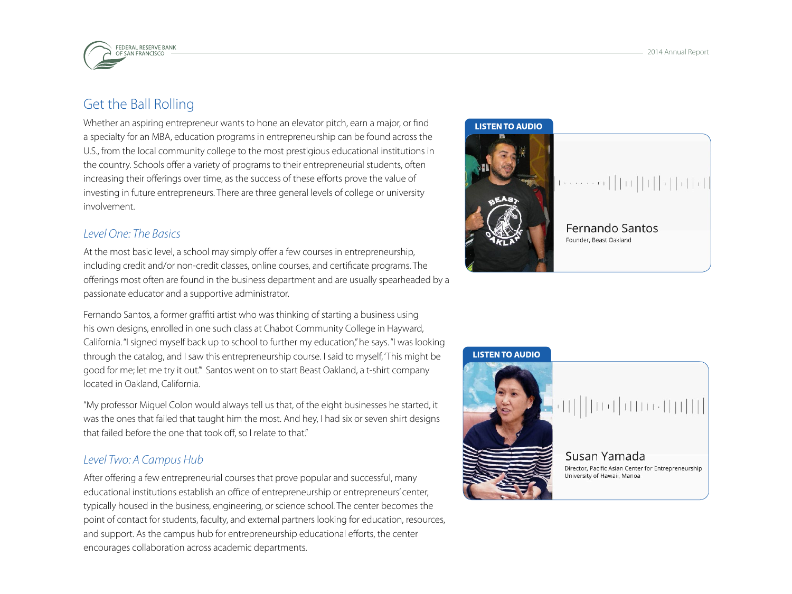

# Get the Ball Rolling

Whether an aspiring entrepreneur wants to hone an elevator pitch, earn a major, or find a specialty for an MBA, education programs in entrepreneurship can be found across the U.S., from the local community college to the most prestigious educational institutions in the country. Schools offer a variety of programs to their entrepreneurial students, often increasing their offerings over time, as the success of these efforts prove the value of investing in future entrepreneurs. There are three general levels of college or university involvement.

#### *Level One: The Basics*

At the most basic level, a school may simply offer a few courses in entrepreneurship, including credit and/or non-credit classes, online courses, and certificate programs. The offerings most often are found in the business department and are usually spearheaded by a passionate educator and a supportive administrator.

Fernando Santos, a former graffiti artist who was thinking of starting a business using his own designs, enrolled in one such class at Chabot Community College in Hayward, California. "I signed myself back up to school to further my education," he says. "I was looking through the catalog, and I saw this entrepreneurship course. I said to myself, 'This might be good for me; let me try it out.'" Santos went on to start Beast Oakland, a t-shirt company located in Oakland, California.

"My professor Miguel Colon would always tell us that, of the eight businesses he started, it was the ones that failed that taught him the most. And hey, I had six or seven shirt designs that failed before the one that took off, so I relate to that."

### *Level Two: A Campus Hub*

After offering a few entrepreneurial courses that prove popular and successful, many educational institutions establish an office of entrepreneurship or entrepreneurs' center, typically housed in the business, engineering, or science school. The center becomes the point of contact for students, faculty, and external partners looking for education, resources, and support. As the campus hub for entrepreneurship educational efforts, the center encourages collaboration across academic departments.



# 

Fernando Santos Founder, Beast Oakland

#### **LISTEN TO AUDIO**

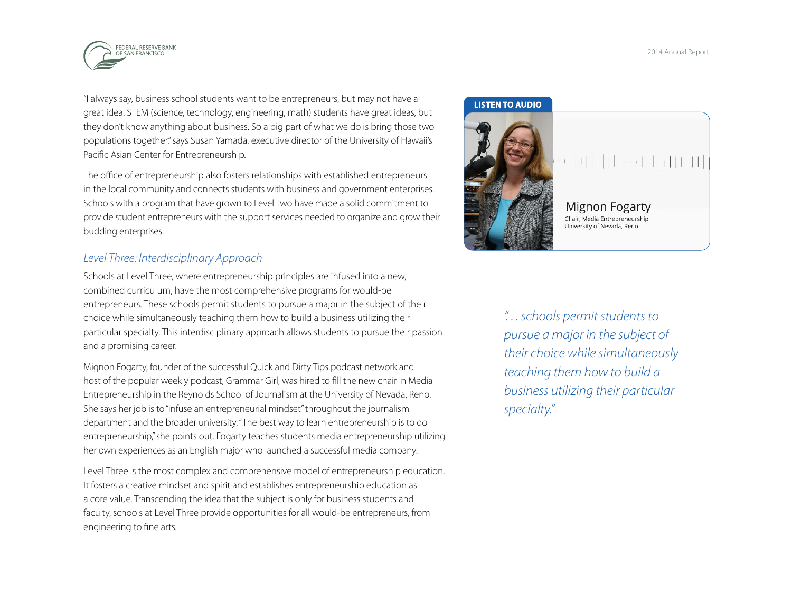

"I always say, business school students want to be entrepreneurs, but may not have a great idea. STEM (science, technology, engineering, math) students have great ideas, but they don't know anything about business. So a big part of what we do is bring those two populations together," says Susan Yamada, executive director of the University of Hawaii's Pacific Asian Center for Entrepreneurship.

The office of entrepreneurship also fosters relationships with established entrepreneurs in the local community and connects students with business and government enterprises. Schools with a program that have grown to Level Two have made a solid commitment to provide student entrepreneurs with the support services needed to organize and grow their budding enterprises.

#### *Level Three: Interdisciplinary Approach*

Schools at Level Three, where entrepreneurship principles are infused into a new, combined curriculum, have the most comprehensive programs for would-be entrepreneurs. These schools permit students to pursue a major in the subject of their choice while simultaneously teaching them how to build a business utilizing their particular specialty. This interdisciplinary approach allows students to pursue their passion and a promising career.

Mignon Fogarty, founder of the successful Quick and Dirty Tips podcast network and host of the popular weekly podcast, Grammar Girl, was hired to fill the new chair in Media Entrepreneurship in the Reynolds School of Journalism at the University of Nevada, Reno. She says her job is to "infuse an entrepreneurial mindset" throughout the journalism department and the broader university. "The best way to learn entrepreneurship is to do entrepreneurship," she points out. Fogarty teaches students media entrepreneurship utilizing her own experiences as an English major who launched a successful media company.

Level Three is the most complex and comprehensive model of entrepreneurship education. It fosters a creative mindset and spirit and establishes entrepreneurship education as a core value. Transcending the idea that the subject is only for business students and faculty, schools at Level Three provide opportunities for all would-be entrepreneurs, from engineering to fine arts.

#### **LISTEN TO AUDIO**



**Mignon Fogarty** Chair, Media Entrepreneurship University of Nevada, Reno

*". . . schools permit students to pursue a major in the subject of their choice while simultaneously teaching them how to build a business utilizing their particular specialty."*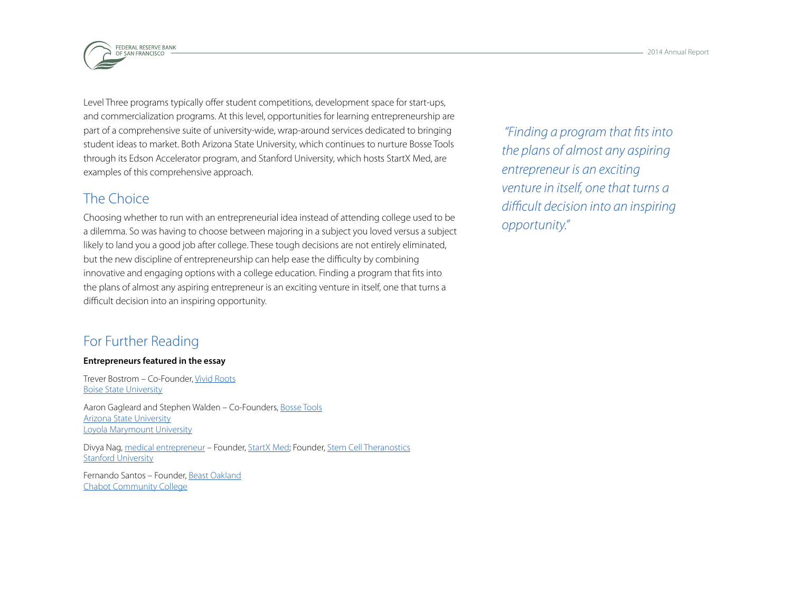

Level Three programs typically offer student competitions, development space for start-ups, and commercialization programs. At this level, opportunities for learning entrepreneurship are part of a comprehensive suite of university-wide, wrap-around services dedicated to bringing student ideas to market. Both Arizona State University, which continues to nurture Bosse Tools through its Edson Accelerator program, and Stanford University, which hosts StartX Med, are examples of this comprehensive approach.

# The Choice

Choosing whether to run with an entrepreneurial idea instead of attending college used to be a dilemma. So was having to choose between majoring in a subject you loved versus a subject likely to land you a good job after college. These tough decisions are not entirely eliminated, but the new discipline of entrepreneurship can help ease the difficulty by combining innovative and engaging options with a college education. Finding a program that fits into the plans of almost any aspiring entrepreneur is an exciting venture in itself, one that turns a difficult decision into an inspiring opportunity.

# For Further Reading

#### **Entrepreneurs featured in the essay**

Trever Bostrom – Co-Founder, [Vivid Roots](http://vividroots.com) [Boise State University](https://venturecollege.boisestate.edu)

Aaron Gagleard and Stephen Walden – Co-Founders, [Bosse Tools](http://bossetools.com) [Arizona State University](https://entrepreneurship.asu.edu) [Loyola Marymount University](http://admission.lmu.edu/academics/majors/entrepreneurship/)

Divya Nag, [medical entrepreneur](http://www.divyanag.com) – Founder, [StartX Med](http://startx.stanford.edu/med); Founder, [Stem Cell Theranostics](http://www.sctheranostics.com) **[Stanford University](http://www.gsb.stanford.edu/ces)** 

Fernando Santos – Founder, [Beast Oakland](http://www.beastoakland.com) [Chabot Community College](http://www.chabotcollege.edu/entr/certificates.asp)

 *"Finding a program that fits into the plans of almost any aspiring entrepreneur is an exciting venture in itself, one that turns a difficult decision into an inspiring opportunity."*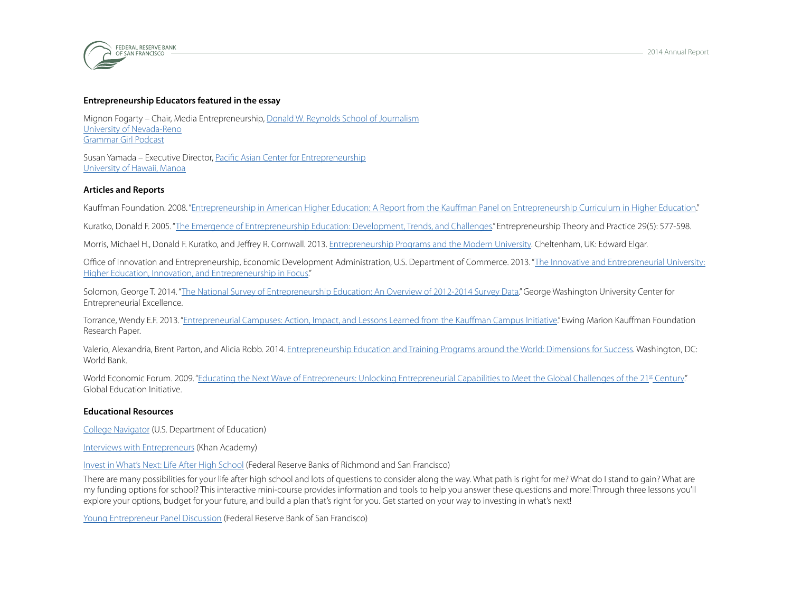

#### **Entrepreneurship Educators featured in the essay**

Mignon Fogarty – Chair, Media Entrepreneurship, [Donald W. Reynolds School of Journalism](http://journalism.unr.edu) [University of Nevada-Reno](http://www.unr.edu/degrees/entrepreneurship) [Grammar Girl Podcast](http://www.quickanddirtytips.com/grammar-girl)

Susan Yamada – Executive Director, [Pacific Asian Center for Entrepreneurship](http://pace.shidler.hawaii.edu) [University of Hawaii, Manoa](https://manoa.hawaii.edu)

#### **Articles and Reports**

Kauffman Foundation. 2008. "[Entrepreneurship in American Higher Education: A Report from the Kauffman Panel on Entrepreneurship Curriculum in Higher Education.](http://www.kauffman.org/~/media/kauffman_org/research reports and covers/2008/07/entrep_high_ed_report.pdf)"

Kuratko, Donald F. 2005. "[The Emergence of Entrepreneurship Education: Development, Trends, and Challenges](http://onlinelibrary.wiley.com/doi/10.1111/j.1540-6520.2005.00099.x/abstract)." Entrepreneurship Theory and Practice 29(5): 577-598.

Morris, Michael H., Donald F. Kuratko, and Jeffrey R. Cornwall. 2013. [Entrepreneurship Programs and the Modern University.](http://www.elgaronline.com/view/9781782544623.xml) Cheltenham, UK: Edward Elgar.

Office of Innovation and Entrepreneurship, Economic Development Administration, U.S. Department of Commerce. 2013. "[The Innovative and Entrepreneurial University:](http://www.eda.gov/pdf/The_Innovative_and_Entrepreneurial_University_Report.pdf)  [Higher Education, Innovation, and Entrepreneurship in Focus.](http://www.eda.gov/pdf/The_Innovative_and_Entrepreneurial_University_Report.pdf)"

Solomon, George T. 2014. "[The National Survey of Entrepreneurship Education: An Overview of 2012-2014 Survey Data.](http://www.nationalsurvey.org/files/2014KauffmanReport_Clean.pdf)" George Washington University Center for Entrepreneurial Excellence.

Torrance, Wendy E.F. 2013. ["Entrepreneurial Campuses: Action, Impact, and Lessons Learned from the Kauffman Campus Initiative.](http://www.kauffman.org/~/media/kauffman_org/research reports and covers/2013/08/entrepreneurialcampusesessay.pdf)" Ewing Marion Kauffman Foundation Research Paper.

Valerio, Alexandria, Brent Parton, and Alicia Robb. 2014. [Entrepreneurship Education and Training Programs around the World: Dimensions for Success](https://openknowledge.worldbank.org/handle/10986/18031). Washington, DC: World Bank.

World Economic Forum. 2009. ["Educating the Next Wave of Entrepreneurs: Unlocking Entrepreneurial Capabilities to Meet the Global Challenges of the 21st Century.](http://www.weforum.org/pdf/GEI/2009/Entrepreneurship_Education_Report.pdf)" Global Education Initiative.

#### **Educational Resources**

[College Navigator](https://nces.ed.gov/collegenavigator) (U.S. Department of Education)

[Interviews with Entrepreneurs](https://www.khanacademy.org/economics-finance-domain/entrepreneurship2/interviews-entrepreneurs) (Khan Academy)

[Invest in What's Next: Life After High School](https://www.investinwhatsnext.org/) (Federal Reserve Banks of Richmond and San Francisco)

There are many possibilities for your life after high school and lots of questions to consider along the way. What path is right for me? What do I stand to gain? What are my funding options for school? This interactive mini-course provides information and tools to help you answer these questions and more! Through three lessons you'll explore your options, budget for your future, and build a plan that's right for you. Get started on your way to investing in what's next!

[Young Entrepreneur Panel Discussion](https://www.youtube.com/playlist?list=PLqE5EIEUZpLLb8TlULUexNT-fGasGNM-U) (Federal Reserve Bank of San Francisco)